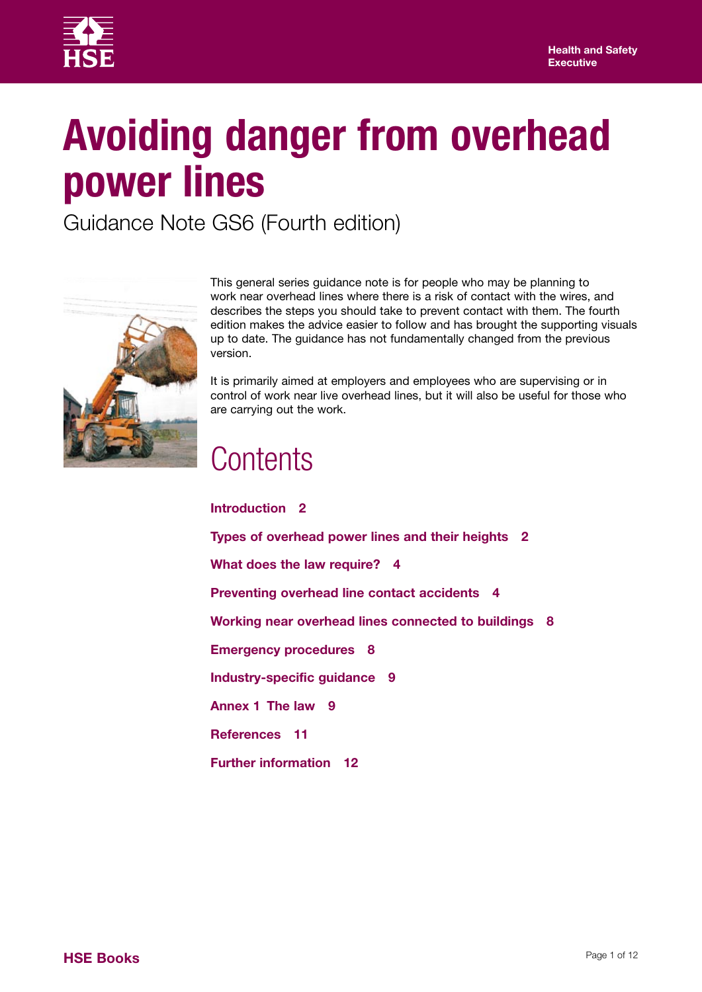

# **Avoiding danger from overhead power lines**

Guidance Note GS6 (Fourth edition)



This general series guidance note is for people who may be planning to work near overhead lines where there is a risk of contact with the wires, and describes the steps you should take to prevent contact with them. The fourth edition makes the advice easier to follow and has brought the supporting visuals up to date. The guidance has not fundamentally changed from the previous version.

It is primarily aimed at employers and employees who are supervising or in control of work near live overhead lines, but it will also be useful for those who are carrying out the work.

### **Contents**

**Further information 12**

**Introduction 2 Types of overhead power lines and their heights 2 What does the law require? 4 Preventing overhead line contact accidents 4 Working near overhead lines connected to buildings 8 Emergency procedures 8 Industry-specific guidance 9 Annex 1 The law 9 References 11**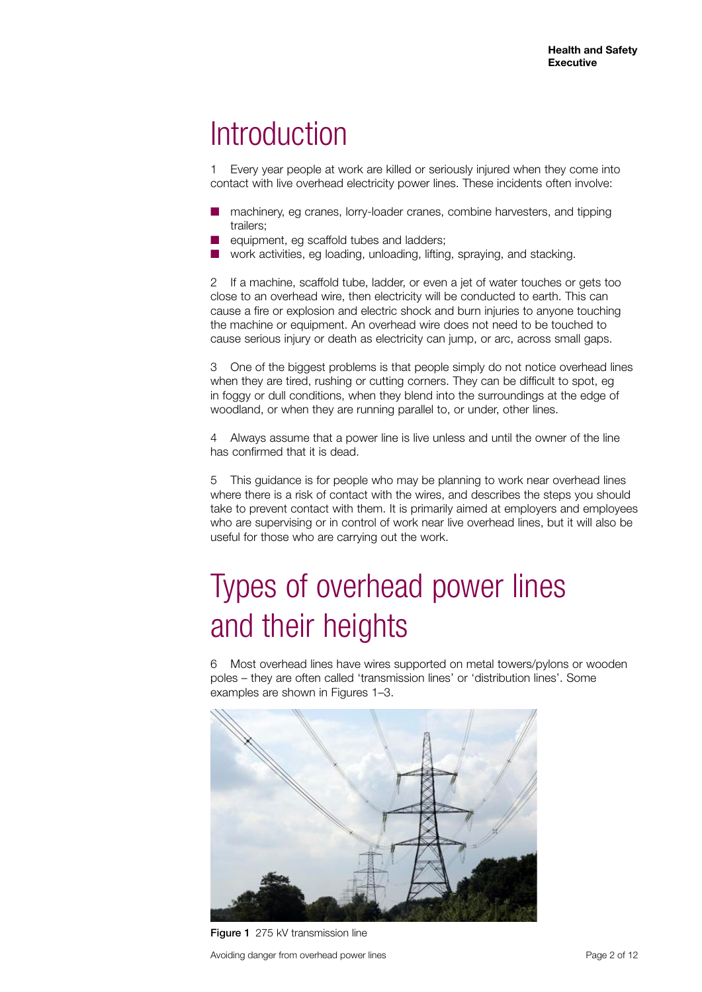### **Introduction**

1 Every year people at work are killed or seriously injured when they come into contact with live overhead electricity power lines. These incidents often involve:

- machinery, eg cranes, lorry-loader cranes, combine harvesters, and tipping trailers;
- equipment, eg scaffold tubes and ladders;
- work activities, eg loading, unloading, lifting, spraying, and stacking.

2 If a machine, scaffold tube, ladder, or even a jet of water touches or gets too close to an overhead wire, then electricity will be conducted to earth. This can cause a fire or explosion and electric shock and burn injuries to anyone touching the machine or equipment. An overhead wire does not need to be touched to cause serious injury or death as electricity can jump, or arc, across small gaps.

3 One of the biggest problems is that people simply do not notice overhead lines when they are tired, rushing or cutting corners. They can be difficult to spot, eg in foggy or dull conditions, when they blend into the surroundings at the edge of woodland, or when they are running parallel to, or under, other lines.

4 Always assume that a power line is live unless and until the owner of the line has confirmed that it is dead.

5 This guidance is for people who may be planning to work near overhead lines where there is a risk of contact with the wires, and describes the steps you should take to prevent contact with them. It is primarily aimed at employers and employees who are supervising or in control of work near live overhead lines, but it will also be useful for those who are carrying out the work.

# Types of overhead power lines and their heights

6 Most overhead lines have wires supported on metal towers/pylons or wooden poles – they are often called 'transmission lines' or 'distribution lines'. Some examples are shown in Figures 1–3.



Figure 1 275 kV transmission line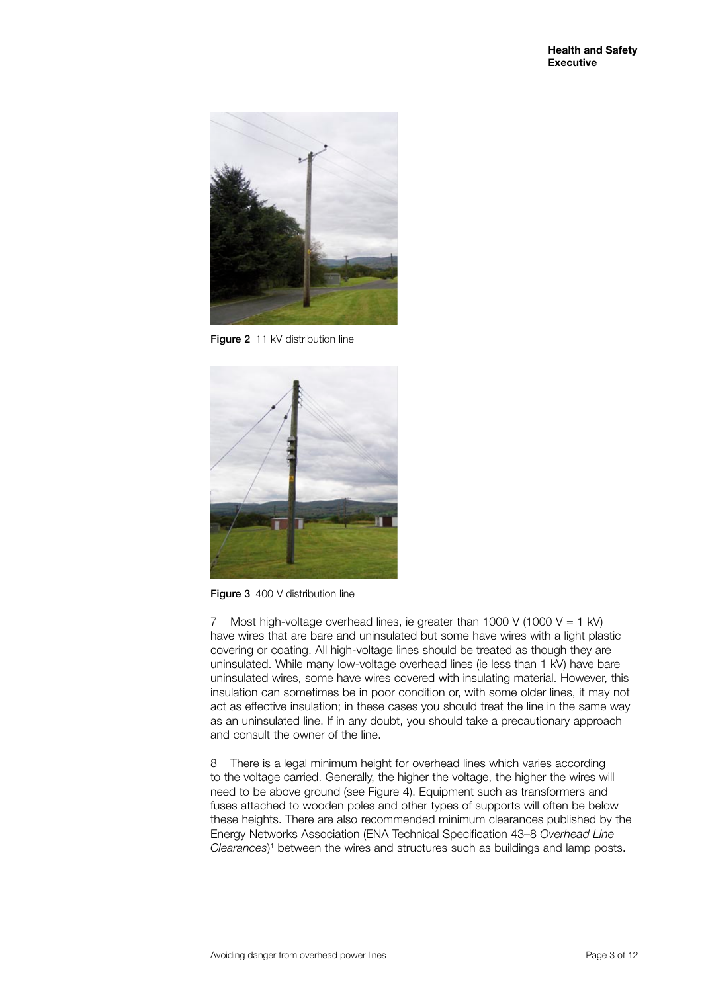

Figure 2 11 kV distribution line



Figure 3 400 V distribution line

7 Most high-voltage overhead lines, ie greater than 1000 V (1000 V = 1 kV) have wires that are bare and uninsulated but some have wires with a light plastic covering or coating. All high-voltage lines should be treated as though they are uninsulated. While many low-voltage overhead lines (ie less than 1 kV) have bare uninsulated wires, some have wires covered with insulating material. However, this insulation can sometimes be in poor condition or, with some older lines, it may not act as effective insulation; in these cases you should treat the line in the same way as an uninsulated line. If in any doubt, you should take a precautionary approach and consult the owner of the line.

8 There is a legal minimum height for overhead lines which varies according to the voltage carried. Generally, the higher the voltage, the higher the wires will need to be above ground (see Figure 4). Equipment such as transformers and fuses attached to wooden poles and other types of supports will often be below these heights. There are also recommended minimum clearances published by the Energy Networks Association (ENA Technical Specification 43–8 *Overhead Line*  Clearances)<sup>1</sup> between the wires and structures such as buildings and lamp posts.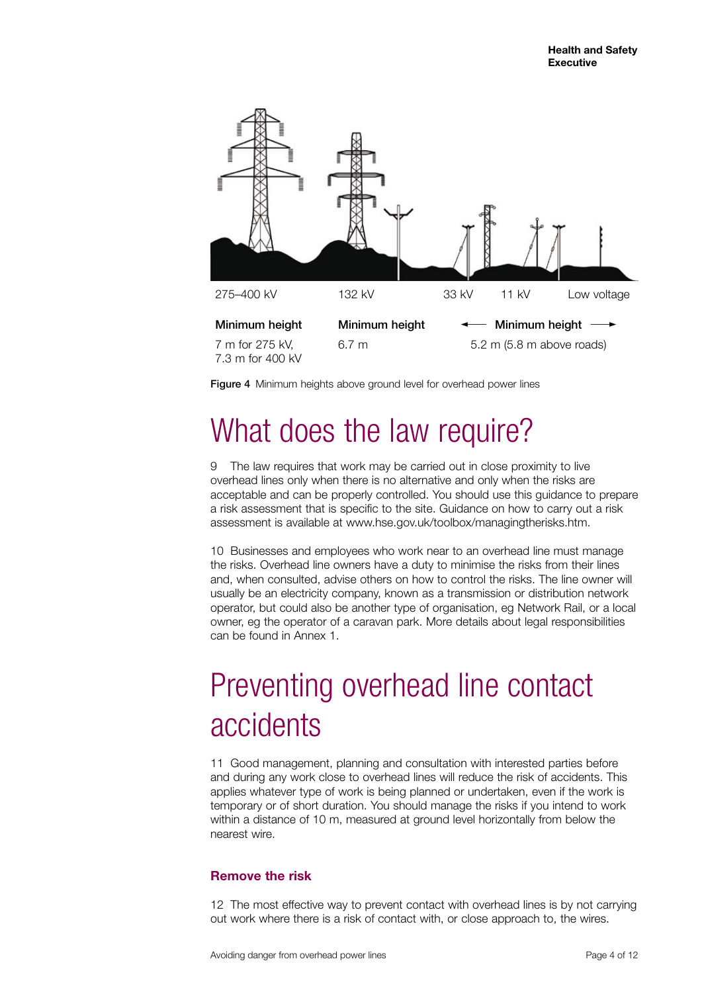

Figure 4 Minimum heights above ground level for overhead power lines

## What does the law require?

9 The law requires that work may be carried out in close proximity to live overhead lines only when there is no alternative and only when the risks are acceptable and can be properly controlled. You should use this guidance to prepare a risk assessment that is specific to the site. Guidance on how to carry out a risk assessment is available at www.hse.gov.uk/toolbox/managingtherisks.htm.

10 Businesses and employees who work near to an overhead line must manage the risks. Overhead line owners have a duty to minimise the risks from their lines and, when consulted, advise others on how to control the risks. The line owner will usually be an electricity company, known as a transmission or distribution network operator, but could also be another type of organisation, eg Network Rail, or a local owner, eg the operator of a caravan park. More details about legal responsibilities can be found in Annex 1.

# Preventing overhead line contact accidents

11 Good management, planning and consultation with interested parties before and during any work close to overhead lines will reduce the risk of accidents. This applies whatever type of work is being planned or undertaken, even if the work is temporary or of short duration. You should manage the risks if you intend to work within a distance of 10 m, measured at ground level horizontally from below the nearest wire.

#### **Remove the risk**

12 The most effective way to prevent contact with overhead lines is by not carrying out work where there is a risk of contact with, or close approach to, the wires.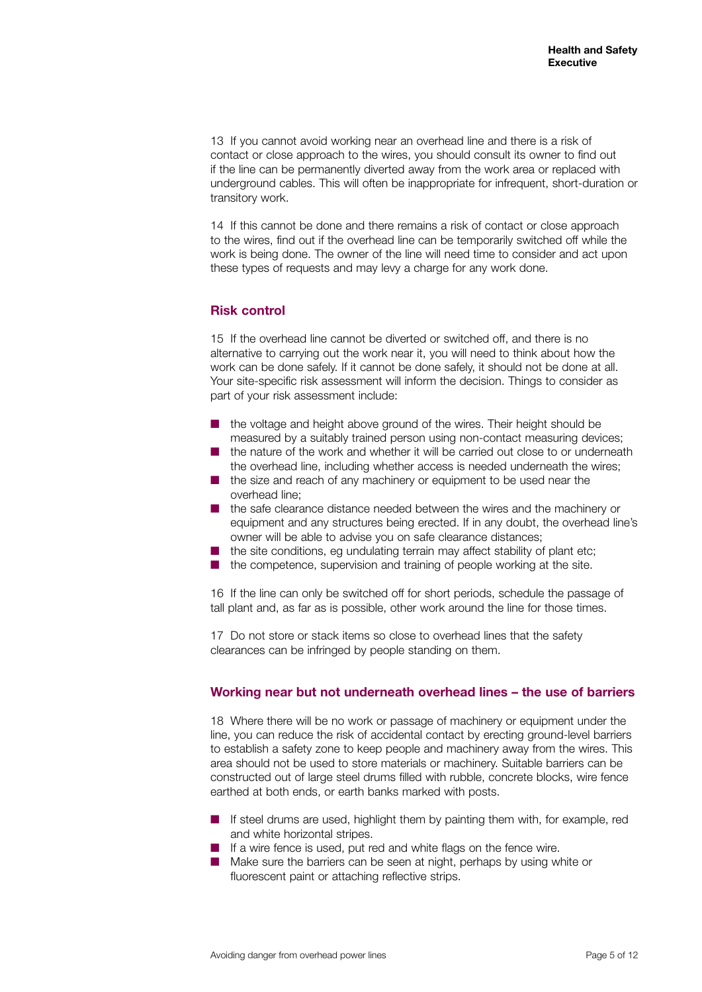13 If you cannot avoid working near an overhead line and there is a risk of contact or close approach to the wires, you should consult its owner to find out if the line can be permanently diverted away from the work area or replaced with underground cables. This will often be inappropriate for infrequent, short-duration or transitory work.

14 If this cannot be done and there remains a risk of contact or close approach to the wires, find out if the overhead line can be temporarily switched off while the work is being done. The owner of the line will need time to consider and act upon these types of requests and may levy a charge for any work done.

#### **Risk control**

15 If the overhead line cannot be diverted or switched off, and there is no alternative to carrying out the work near it, you will need to think about how the work can be done safely. If it cannot be done safely, it should not be done at all. Your site-specific risk assessment will inform the decision. Things to consider as part of your risk assessment include:

- the voltage and height above ground of the wires. Their height should be measured by a suitably trained person using non-contact measuring devices;
- the nature of the work and whether it will be carried out close to or underneath the overhead line, including whether access is needed underneath the wires;
- the size and reach of any machinery or equipment to be used near the overhead line;
- the safe clearance distance needed between the wires and the machinery or equipment and any structures being erected. If in any doubt, the overhead line's owner will be able to advise you on safe clearance distances;
- the site conditions, eg undulating terrain may affect stability of plant etc;
- the competence, supervision and training of people working at the site.

16 If the line can only be switched off for short periods, schedule the passage of tall plant and, as far as is possible, other work around the line for those times.

17 Do not store or stack items so close to overhead lines that the safety clearances can be infringed by people standing on them.

#### **Working near but not underneath overhead lines – the use of barriers**

18 Where there will be no work or passage of machinery or equipment under the line, you can reduce the risk of accidental contact by erecting ground-level barriers to establish a safety zone to keep people and machinery away from the wires. This area should not be used to store materials or machinery. Suitable barriers can be constructed out of large steel drums filled with rubble, concrete blocks, wire fence earthed at both ends, or earth banks marked with posts.

- If steel drums are used, highlight them by painting them with, for example, red and white horizontal stripes.
- If a wire fence is used, put red and white flags on the fence wire.
- Make sure the barriers can be seen at night, perhaps by using white or fluorescent paint or attaching reflective strips.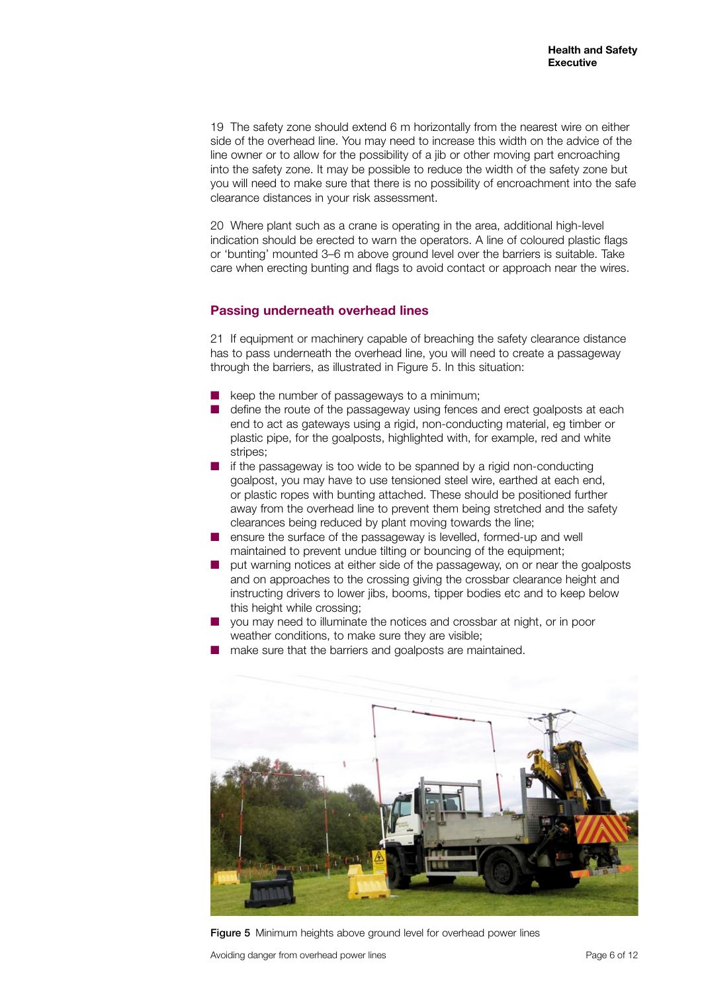19 The safety zone should extend 6 m horizontally from the nearest wire on either side of the overhead line. You may need to increase this width on the advice of the line owner or to allow for the possibility of a jib or other moving part encroaching into the safety zone. It may be possible to reduce the width of the safety zone but you will need to make sure that there is no possibility of encroachment into the safe clearance distances in your risk assessment.

20 Where plant such as a crane is operating in the area, additional high-level indication should be erected to warn the operators. A line of coloured plastic flags or 'bunting' mounted 3–6 m above ground level over the barriers is suitable. Take care when erecting bunting and flags to avoid contact or approach near the wires.

#### **Passing underneath overhead lines**

21 If equipment or machinery capable of breaching the safety clearance distance has to pass underneath the overhead line, you will need to create a passageway through the barriers, as illustrated in Figure 5. In this situation:

- keep the number of passageways to a minimum;
- define the route of the passageway using fences and erect goalposts at each end to act as gateways using a rigid, non-conducting material, eg timber or plastic pipe, for the goalposts, highlighted with, for example, red and white stripes;
- if the passageway is too wide to be spanned by a rigid non-conducting goalpost, you may have to use tensioned steel wire, earthed at each end, or plastic ropes with bunting attached. These should be positioned further away from the overhead line to prevent them being stretched and the safety clearances being reduced by plant moving towards the line;
- ensure the surface of the passageway is levelled, formed-up and well maintained to prevent undue tilting or bouncing of the equipment;
- put warning notices at either side of the passageway, on or near the goalposts and on approaches to the crossing giving the crossbar clearance height and instructing drivers to lower jibs, booms, tipper bodies etc and to keep below this height while crossing;
- you may need to illuminate the notices and crossbar at night, or in poor weather conditions, to make sure they are visible;
- make sure that the barriers and goalposts are maintained.



Figure 5 Minimum heights above ground level for overhead power lines

Avoiding danger from overhead power lines **Page 6 of 12** and  $P$  and  $P$  and  $P$  and  $P$  and  $P$  and  $P$  and  $P$  and  $P$  and  $P$  and  $P$  and  $P$  and  $P$  and  $P$  and  $P$  and  $P$  and  $P$  and  $P$  and  $P$  and  $P$  and  $P$  and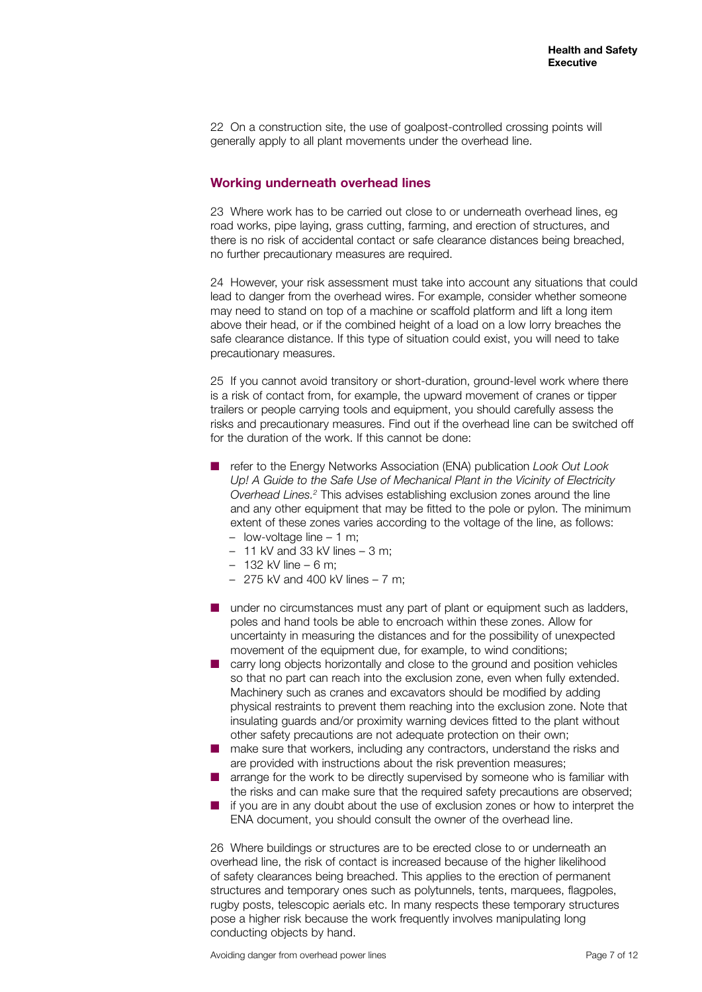22 On a construction site, the use of goalpost-controlled crossing points will generally apply to all plant movements under the overhead line.

#### **Working underneath overhead lines**

23 Where work has to be carried out close to or underneath overhead lines, eg road works, pipe laying, grass cutting, farming, and erection of structures, and there is no risk of accidental contact or safe clearance distances being breached, no further precautionary measures are required.

24 However, your risk assessment must take into account any situations that could lead to danger from the overhead wires. For example, consider whether someone may need to stand on top of a machine or scaffold platform and lift a long item above their head, or if the combined height of a load on a low lorry breaches the safe clearance distance. If this type of situation could exist, you will need to take precautionary measures.

25 If you cannot avoid transitory or short-duration, ground-level work where there is a risk of contact from, for example, the upward movement of cranes or tipper trailers or people carrying tools and equipment, you should carefully assess the risks and precautionary measures. Find out if the overhead line can be switched off for the duration of the work. If this cannot be done:

- refer to the Energy Networks Association (ENA) publication *Look Out Look* Up! A Guide to the Safe Use of Mechanical Plant in the Vicinity of Electricity *Overhead Lines.2* This advises establishing exclusion zones around the line and any other equipment that may be fitted to the pole or pylon. The minimum extent of these zones varies according to the voltage of the line, as follows:
	- low-voltage line 1 m;
	- $-11$  kV and 33 kV lines  $-3$  m;
	- 132 kV line 6 m;
	- 275 kV and 400 kV lines 7 m;
- under no circumstances must any part of plant or equipment such as ladders, poles and hand tools be able to encroach within these zones. Allow for uncertainty in measuring the distances and for the possibility of unexpected movement of the equipment due, for example, to wind conditions;
- carry long objects horizontally and close to the ground and position vehicles so that no part can reach into the exclusion zone, even when fully extended. Machinery such as cranes and excavators should be modified by adding physical restraints to prevent them reaching into the exclusion zone. Note that insulating guards and/or proximity warning devices fitted to the plant without other safety precautions are not adequate protection on their own;
- make sure that workers, including any contractors, understand the risks and are provided with instructions about the risk prevention measures;
- arrange for the work to be directly supervised by someone who is familiar with the risks and can make sure that the required safety precautions are observed;
- if you are in any doubt about the use of exclusion zones or how to interpret the ENA document, you should consult the owner of the overhead line.

26 Where buildings or structures are to be erected close to or underneath an overhead line, the risk of contact is increased because of the higher likelihood of safety clearances being breached. This applies to the erection of permanent structures and temporary ones such as polytunnels, tents, marquees, flagpoles, rugby posts, telescopic aerials etc. In many respects these temporary structures pose a higher risk because the work frequently involves manipulating long conducting objects by hand.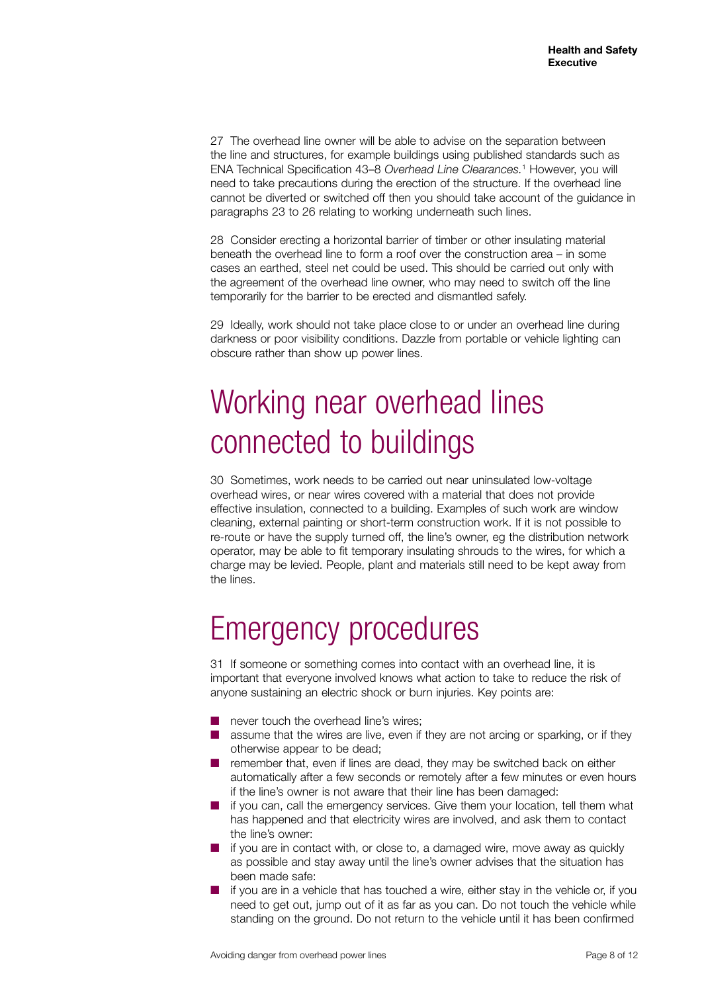27 The overhead line owner will be able to advise on the separation between the line and structures, for example buildings using published standards such as ENA Technical Specification 43–8 *Overhead Line Clearances.*<sup>1</sup> However, you will need to take precautions during the erection of the structure. If the overhead line cannot be diverted or switched off then you should take account of the guidance in paragraphs 23 to 26 relating to working underneath such lines.

28 Consider erecting a horizontal barrier of timber or other insulating material beneath the overhead line to form a roof over the construction area – in some cases an earthed, steel net could be used. This should be carried out only with the agreement of the overhead line owner, who may need to switch off the line temporarily for the barrier to be erected and dismantled safely.

29 Ideally, work should not take place close to or under an overhead line during darkness or poor visibility conditions. Dazzle from portable or vehicle lighting can obscure rather than show up power lines.

# Working near overhead lines connected to buildings

30 Sometimes, work needs to be carried out near uninsulated low-voltage overhead wires, or near wires covered with a material that does not provide effective insulation, connected to a building. Examples of such work are window cleaning, external painting or short-term construction work. If it is not possible to re-route or have the supply turned off, the line's owner, eg the distribution network operator, may be able to fit temporary insulating shrouds to the wires, for which a charge may be levied. People, plant and materials still need to be kept away from the lines.

## Emergency procedures

31 If someone or something comes into contact with an overhead line, it is important that everyone involved knows what action to take to reduce the risk of anyone sustaining an electric shock or burn injuries. Key points are:

- never touch the overhead line's wires:
- assume that the wires are live, even if they are not arcing or sparking, or if they otherwise appear to be dead;
- remember that, even if lines are dead, they may be switched back on either automatically after a few seconds or remotely after a few minutes or even hours if the line's owner is not aware that their line has been damaged:
- if you can, call the emergency services. Give them your location, tell them what has happened and that electricity wires are involved, and ask them to contact the line's owner:
- if you are in contact with, or close to, a damaged wire, move away as quickly as possible and stay away until the line's owner advises that the situation has been made safe:
- if you are in a vehicle that has touched a wire, either stay in the vehicle or, if you need to get out, jump out of it as far as you can. Do not touch the vehicle while standing on the ground. Do not return to the vehicle until it has been confirmed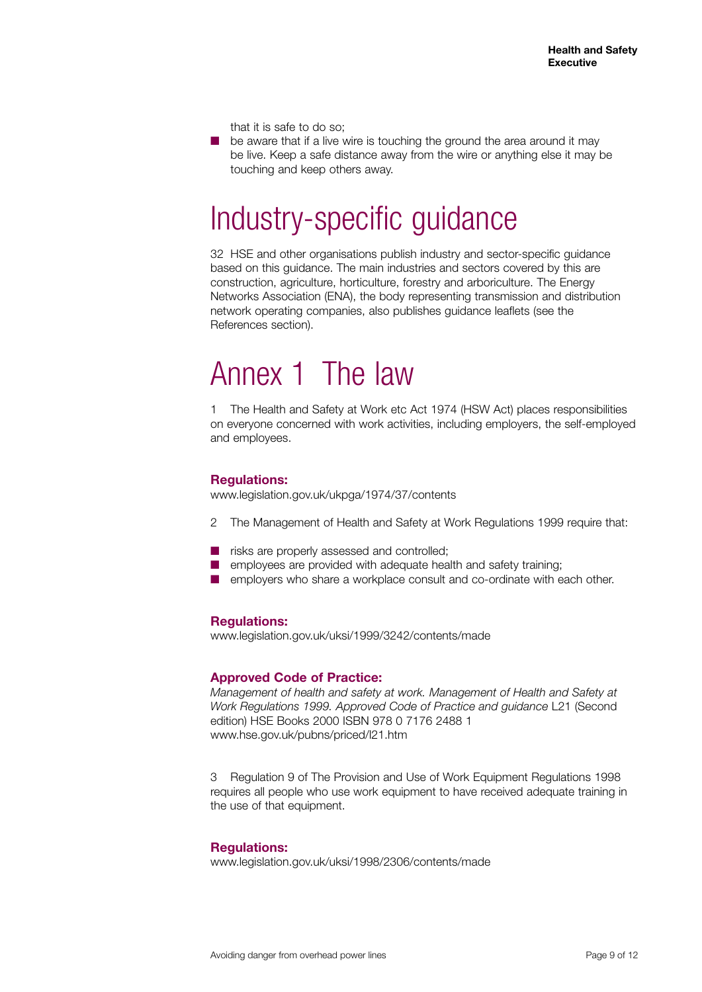that it is safe to do so;

be aware that if a live wire is touching the ground the area around it may be live. Keep a safe distance away from the wire or anything else it may be touching and keep others away.

### Industry-specific guidance

32 HSE and other organisations publish industry and sector-specific guidance based on this guidance. The main industries and sectors covered by this are construction, agriculture, horticulture, forestry and arboriculture. The Energy Networks Association (ENA), the body representing transmission and distribution network operating companies, also publishes guidance leaflets (see the References section).

### Annex 1 The law

1 The Health and Safety at Work etc Act 1974 (HSW Act) places responsibilities on everyone concerned with work activities, including employers, the self-employed and employees.

#### **Regulations:**

www.legislation.gov.uk/ukpga/1974/37/contents

- 2 The Management of Health and Safety at Work Regulations 1999 require that:
- risks are properly assessed and controlled;
- employees are provided with adequate health and safety training;
- employers who share a workplace consult and co-ordinate with each other.

#### **Regulations:**

www.legislation.gov.uk/uksi/1999/3242/contents/made

#### **Approved Code of Practice:**

*Management of health and safety at work. Management of Health and Safety at Work Regulations 1999. Approved Code of Practice and guidance* L21 (Second edition) HSE Books 2000 ISBN 978 0 7176 2488 1 www.hse.gov.uk/pubns/priced/l21.htm

3 Regulation 9 of The Provision and Use of Work Equipment Regulations 1998 requires all people who use work equipment to have received adequate training in the use of that equipment.

#### **Regulations:**

www.legislation.gov.uk/uksi/1998/2306/contents/made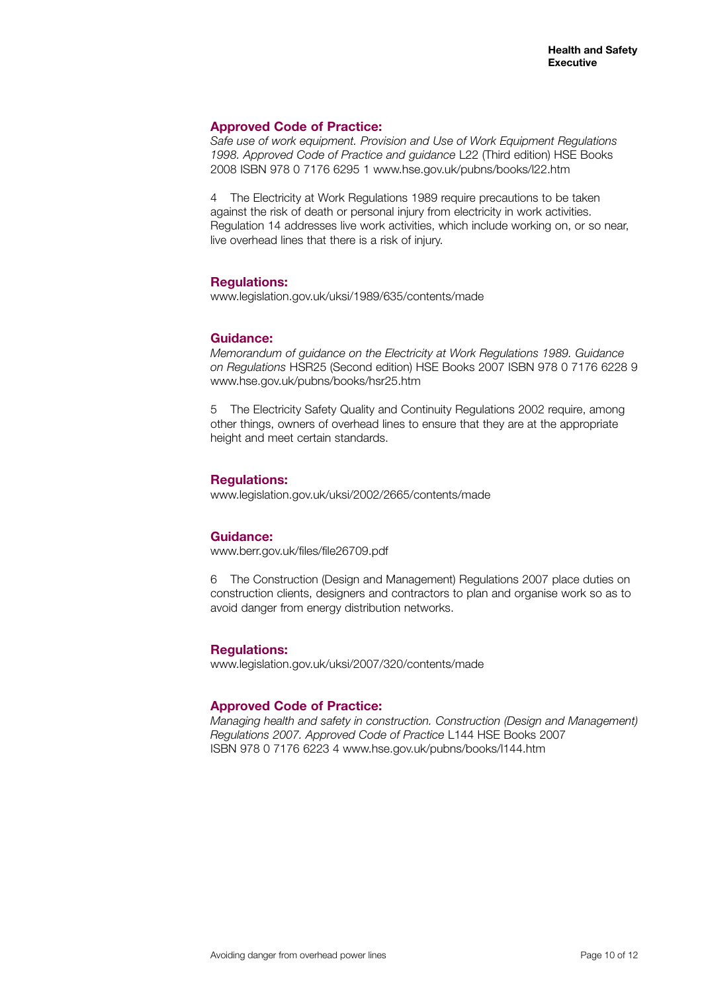#### **Approved Code of Practice:**

*Safe use of work equipment. Provision and Use of Work Equipment Regulations 1998. Approved Code of Practice and guidance* L22 (Third edition) HSE Books 2008 ISBN 978 0 7176 6295 1 www.hse.gov.uk/pubns/books/l22.htm

4 The Electricity at Work Regulations 1989 require precautions to be taken against the risk of death or personal injury from electricity in work activities. Regulation 14 addresses live work activities, which include working on, or so near, live overhead lines that there is a risk of injury.

#### **Regulations:**

www.legislation.gov.uk/uksi/1989/635/contents/made

#### **Guidance:**

*Memorandum of guidance on the Electricity at Work Regulations 1989. Guidance on Regulations* HSR25 (Second edition) HSE Books 2007 ISBN 978 0 7176 6228 9 www.hse.gov.uk/pubns/books/hsr25.htm

5 The Electricity Safety Quality and Continuity Regulations 2002 require, among other things, owners of overhead lines to ensure that they are at the appropriate height and meet certain standards.

#### **Regulations:**

www.legislation.gov.uk/uksi/2002/2665/contents/made

#### **Guidance:**

www.berr.gov.uk/files/file26709.pdf

6 The Construction (Design and Management) Regulations 2007 place duties on construction clients, designers and contractors to plan and organise work so as to avoid danger from energy distribution networks.

#### **Regulations:**

www.legislation.gov.uk/uksi/2007/320/contents/made

#### **Approved Code of Practice:**

*Managing health and safety in construction. Construction (Design and Management) Regulations 2007. Approved Code of Practice* L144 HSE Books 2007 ISBN 978 0 7176 6223 4 www.hse.gov.uk/pubns/books/l144.htm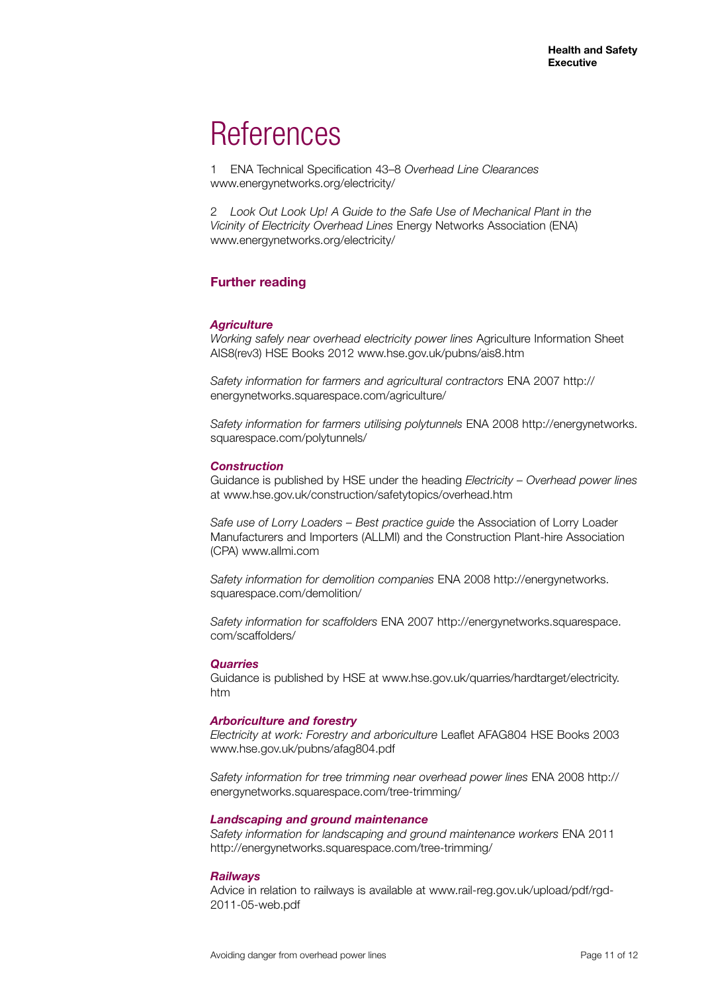### **References**

1 ENA Technical Specification 43–8 *Overhead Line Clearances* www.energynetworks.org/electricity/

2 *Look Out Look Up! A Guide to the Safe Use of Mechanical Plant in the Vicinity of Electricity Overhead Lines* Energy Networks Association (ENA) www.energynetworks.org/electricity/

#### **Further reading**

#### *Agriculture*

*Working safely near overhead electricity power lines* Agriculture Information Sheet AIS8(rev3) HSE Books 2012 www.hse.gov.uk/pubns/ais8.htm

*Safety information for farmers and agricultural contractors* ENA 2007 http:// energynetworks.squarespace.com/agriculture/

*Safety information for farmers utilising polytunnels* ENA 2008 http://energynetworks. squarespace.com/polytunnels/

#### *Construction*

Guidance is published by HSE under the heading *Electricity – Overhead power lines*  at www.hse.gov.uk/construction/safetytopics/overhead.htm

*Safe use of Lorry Loaders – Best practice guide* the Association of Lorry Loader Manufacturers and Importers (ALLMI) and the Construction Plant-hire Association (CPA) www.allmi.com

*Safety information for demolition companies* ENA 2008 http://energynetworks. squarespace.com/demolition/

*Safety information for scaffolders* ENA 2007 http://energynetworks.squarespace. com/scaffolders/

#### *Quarries*

Guidance is published by HSE at www.hse.gov.uk/quarries/hardtarget/electricity. htm

#### *Arboriculture and forestry*

*Electricity at work: Forestry and arboriculture* Leaflet AFAG804 HSE Books 2003 www.hse.gov.uk/pubns/afag804.pdf

*Safety information for tree trimming near overhead power lines* ENA 2008 http:// energynetworks.squarespace.com/tree-trimming/

#### *Landscaping and ground maintenance*

*Safety information for landscaping and ground maintenance workers* ENA 2011 http://energynetworks.squarespace.com/tree-trimming/

#### *Railways*

Advice in relation to railways is available at www.rail-reg.gov.uk/upload/pdf/rgd-2011-05-web.pdf